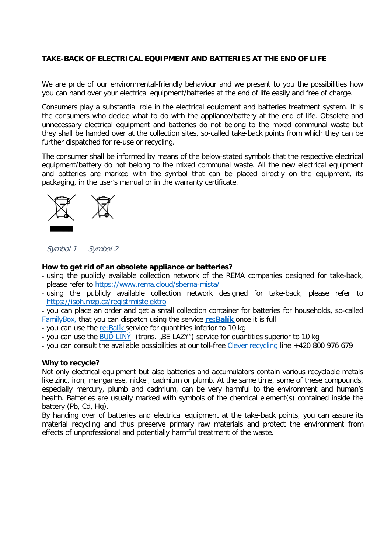## **TAKE-BACK OF ELECTRICAL EQUIPMENT AND BATTERIES AT THE END OF LIFE**

We are pride of our environmental-friendly behaviour and we present to you the possibilities how you can hand over your electrical equipment/batteries at the end of life easily and free of charge.

Consumers play a substantial role in the electrical equipment and batteries treatment system. It is the consumers who decide what to do with the appliance/battery at the end of life. Obsolete and unnecessary electrical equipment and batteries do not belong to the mixed communal waste but they shall be handed over at the collection sites, so-called take-back points from which they can be further dispatched for re-use or recycling.

The consumer shall be informed by means of the below-stated symbols that the respective electrical equipment/battery do not belong to the mixed communal waste. All the new electrical equipment and batteries are marked with the symbol that can be placed directly on the equipment, its packaging, in the user's manual or in the warranty certificate.



Symbol 1 Symbol 2

## **How to get rid of an obsolete appliance or batteries?**

- using the publicly available collection network of the REMA companies designed for take-back, please refer to<https://www.rema.cloud/sberna-mista/>
- using the publicly available collection network designed for take-back, please refer to <https://isoh.mzp.cz/registrmistelektro>

- you can place an order and get a small collection container for batteries for households, so-called [FamilyBox,](https://www.rema.cloud/rema-battery/familybox/) that you can dispatch using the service **[re:Balík](https://www.rema.cloud/re-balik/)** once it is full

- you can use the [re:Balík](https://www.rema.cloud/re-balik/) service for quantities inferior to 10 kg

- you can use the BUD LINY (trans. "BE LAZY") service for quantities superior to 10 kg
- you can consult the available possibilities at our toll-free [Clever recycling](http://chytrarecyklace.cz/) line +420 800 976 679

## **Why to recycle?**

Not only electrical equipment but also batteries and accumulators contain various recyclable metals like zinc, iron, manganese, nickel, cadmium or plumb. At the same time, some of these compounds, especially mercury, plumb and cadmium, can be very harmful to the environment and human's health. Batteries are usually marked with symbols of the chemical element(s) contained inside the battery (Pb, Cd, Ha).

By handing over of batteries and electrical equipment at the take-back points, you can assure its material recycling and thus preserve primary raw materials and protect the environment from effects of unprofessional and potentially harmful treatment of the waste.